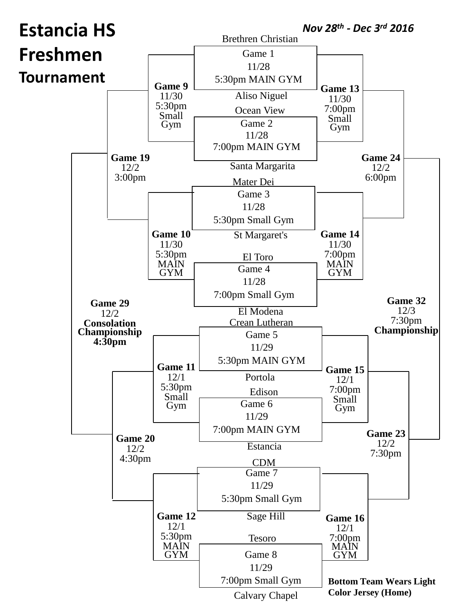